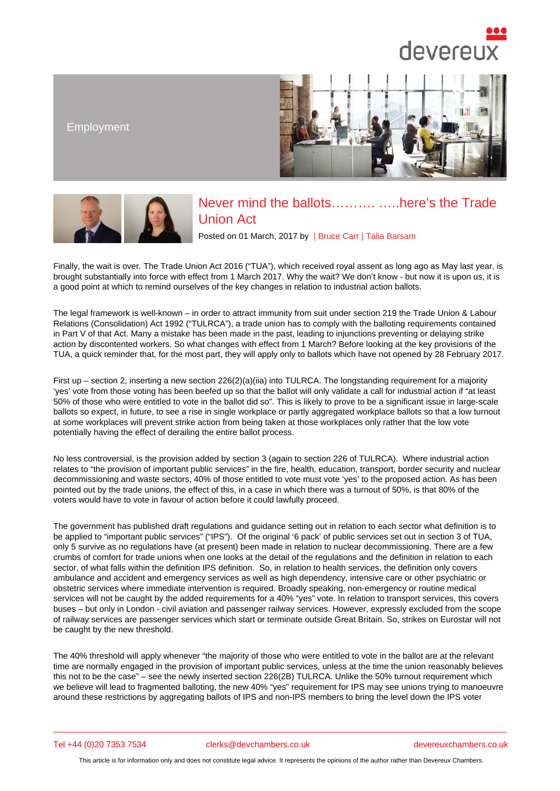## Employment

## Never mind the ballots………. …..here's the Trade Union Act

Posted on 01 March, 2017 by | Bruce Carr | Talia Barsam

Finally, the wait is over. The Trade Union Act 2016 ("TUA"), which received royal assent as long ago as May last year, is brought substantially into force with effect from 1 March 2017. Why the wait? We don't know - but now it is upon us, it is a good point at which to remind ourselves of the key changes in relatio[n to industri](/barristers/profile/bruce-carr)a[l action ballots](/barristers/profile/talia-barsam).

The legal framework is well-known – in order to attract immunity from suit under section 219 the Trade Union & Labour Relations (Consolidation) Act 1992 ("TULRCA"), a trade union has to comply with the balloting requirements contained in Part V of that Act. Many a mistake has been made in the past, leading to injunctions preventing or delaying strike action by discontented workers. So what changes with effect from 1 March? Before looking at the key provisions of the TUA, a quick reminder that, for the most part, they will apply only to ballots which have not opened by 28 February 2017.

First up – section 2, inserting a new section  $226(2)(a)(ii)a$  into TULRCA. The longstanding requirement for a majority 'yes' vote from those voting has been beefed up so that the ballot will only validate a call for industrial action if "at least 50% of those who were entitled to vote in the ballot did so". This is likely to prove to be a significant issue in large-scale ballots so expect, in future, to see a rise in single workplace or partly aggregated workplace ballots so that a low turnout at some workplaces will prevent strike action from being taken at those workplaces only rather that the low vote potentially having the effect of derailing the entire ballot process.

No less controversial, is the provision added by section 3 (again to section 226 of TULRCA). Where industrial action relates to "the provision of important public services" in the fire, health, education, transport, border security and nuclear decommissioning and waste sectors, 40% of those entitled to vote must vote 'yes' to the proposed action. As has been pointed out by the trade unions, the effect of this, in a case in which there was a turnout of 50%, is that 80% of the voters would have to vote in favour of action before it could lawfully proceed.

The government has published draft regulations and guidance setting out in relation to each sector what definition is to be applied to "important public services" ("IPS"). Of the original '6 pack' of public services set out in section 3 of TUA, only 5 survive as no regulations have (at present) been made in relation to nuclear decommissioning. There are a few crumbs of comfort for trade unions when one looks at the detail of the regulations and the definition in relation to each sector, of what falls within the definition IPS definition. So, in relation to health services, the definition only covers ambulance and accident and emergency services as well as high dependency, intensive care or other psychiatric or obstetric services where immediate intervention is required. Broadly speaking, non-emergency or routine medical services will not be caught by the added requirements for a 40% "yes" vote. In relation to transport services, this covers buses – but only in London - civil aviation and passenger railway services. However, expressly excluded from the scope of railway services are passenger services which start or terminate outside Great Britain. So, strikes on Eurostar will not be caught by the new threshold.

The 40% threshold will apply whenever "the majority of those who were entitled to vote in the ballot are at the relevant time are normally engaged in the provision of important public services, unless at the time the union reasonably believes this not to be the case" – see the newly inserted section 226(2B) TULRCA. Unlike the 50% turnout requirement which we believe will lead to fragmented balloting, the new 40% "yes" requirement for IPS may see unions trying to manoeuvre around these restrictions by aggregating ballots of IPS and non-IPS members to bring the level down the IPS voter

## Tel +44 (0)20 7353 7534 clerks@devchambers.co.uk devereuxchambers.co.uk

This article is for information only and does not constitute legal advice. It represents the opinions of the author rather than Devereux Chambers.